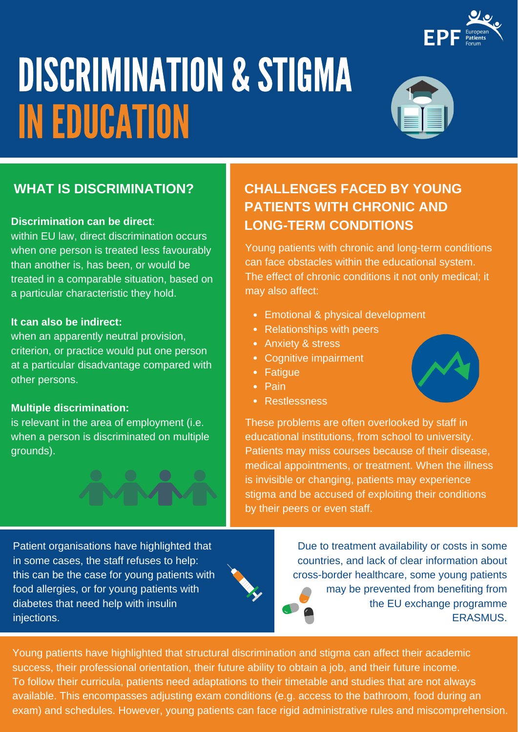

# DISCRIMINATION & STIGMA INEDUCATION



### **Discrimination can be direct**:

within EU law, direct discrimination occurs when one person is treated less favourably than another is, has been, or would be treated in a comparable situation, based on a particular characteristic they hold.

### **It can also be indirect:**

when an apparently neutral provision, criterion, or practice would put one person at a particular disadvantage compared with other persons.

### **Multiple discrimination:**

is relevant in the area of employment (i.e. when a person is discriminated on multiple grounds).

## **WHAT IS DISCRIMINATION? CHALLENGES FACED BY YOUNG PATIENTS WITH CHRONIC AND LONG-TERM CONDITIONS**

Young patients with chronic and long-term conditions can face obstacles within the educational system. The effect of chronic conditions it not only medical; it may also affect:

- Emotional & physical development
- Relationships with peers
- Anxiety & stress
- Cognitive impairment
- Fatique
- $\bullet$  Pain
- **Restlessness**



Patient organisations have highlighted that in some cases, the staff refuses to help: this can be the case for young patients with food allergies, or for young patients with diabetes that need help with insulin injections.

Due to treatment availability or costs in some countries, and lack of clear information about cross-border healthcare, some young patients may be prevented from benefiting from the EU exchange programme ERASMUS.

Young patients have highlighted that structural discrimination and stigma can affect their academic success, their professional orientation, their future ability to obtain a job, and their future income. To follow their curricula, patients need adaptations to their timetable and studies that are not always available. This encompasses adjusting exam conditions (e.g. access to the bathroom, food during an exam) and schedules. However, young patients can face rigid administrative rules and miscomprehension.